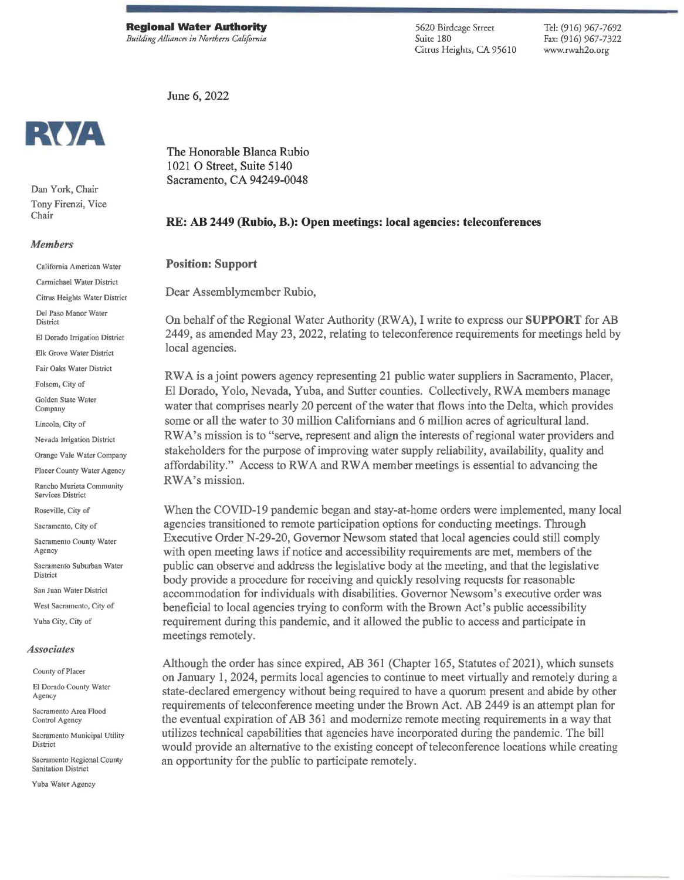**Regional Water Authority**  *Building Alliances in Northern California*  5620 Birdcage Street Suite 180 Citrus Heights, CA 95610 Tel: (916) 967-7692 Fax: (916) 967-7322 www.rwah2o.org

June 6, 2022



Dan York, Chair Tony Firenzi, Vice Chair

## *Members*

California American Water

Cannicbael Water District

Citrus Heights Water District

Del Paso Manor Water **District** 

El Dorado Irrigation District

Elk Grove Water District

Fair Oaks Water District

Folsom, City of

Golden State Water Company

Lincoln, City of

Nevada Irrigation District

Orange Vale Water Company

Placer County Water Agency Rancho Murieta Community

Services District

Roseville, City of Sacramento, City of

Sacramento County Water Agency

Sacramento Suburban Water **District** 

San Juan Water District

West Sacramento, City of

Yuba City, City of

## *Associates*

County of Placer

El Dorado County Water Agency

Sacramento Area Flood Control Agency

Sacramento Municipal Utility District

Sacramento Regional County Sanitation District

Yuba Water Agency

The Honorable Blanca Rubio 1021 0 Street, Suite 5140 Sacramento, CA 94249-0048

## **RE: AB 2449 (Rubio, B.): Open meetings: local agencies: teleconferences**

## **Position: Support**

Dear Assemblymember Rubio,

On behalf of the Regional Water Authority (RWA), I write to express our **SUPPORT** for AB 2449, as amended May 23, 2022, relating to teleconference requirements for meetings held by local agencies.

RW A is a joint powers agency representing 21 public water suppliers in Sacramento, Placer, El Dorado, Yolo, Nevada, Yuba, and Sutter counties. Collectively, RW A members manage water that comprises nearly 20 percent of the water that flows into the Delta, which provides some or all the water to 30 million Californians and 6 million acres of agricultural land. RWA's mission is to "serve, represent and align the interests of regional water providers and stakeholders for the purpose of improving water supply reliability, availability, quality and affordability." Access to RWA and RWA member meetings is essential to advancing the RWA's mission.

When the COVID-19 pandemic began and stay-at-home orders were implemented, many local agencies transitioned to remote participation options for conducting meetings. Through Executive Order N-29-20, Governor Newsom stated that local agencies could still comply with open meeting laws if notice and accessibility requirements are met, members of the public can observe and address the legislative body at the meeting, and that the legislative body provide a procedure for receiving and quickly resolving requests for reasonable accommodation for individuals with disabilities. Governor Newsom's executive order was beneficial to local agencies trying to conform with the Brown Act's public accessibility requirement during this pandemic, and it allowed the public to access and participate in meetings remotely.

Although the order has since expired, AB 361 (Chapter 165, Statutes of 2021), which sunsets on January 1, 2024, permits local agencies to continue to meet virtually and remotely during a state-declared emergency without being required to have a quorum present and abide by other requirements of teleconference meeting under the Brown Act. AB 2449 is an attempt plan for the eventual expiration of AB 361 and modernize remote meeting requirements in a way that utilizes technical capabilities that agencies have incorporated during the pandemic. The bill would provide an alternative to the existing concept of teleconference locations while creating an opportunity for the public to participate remotely.